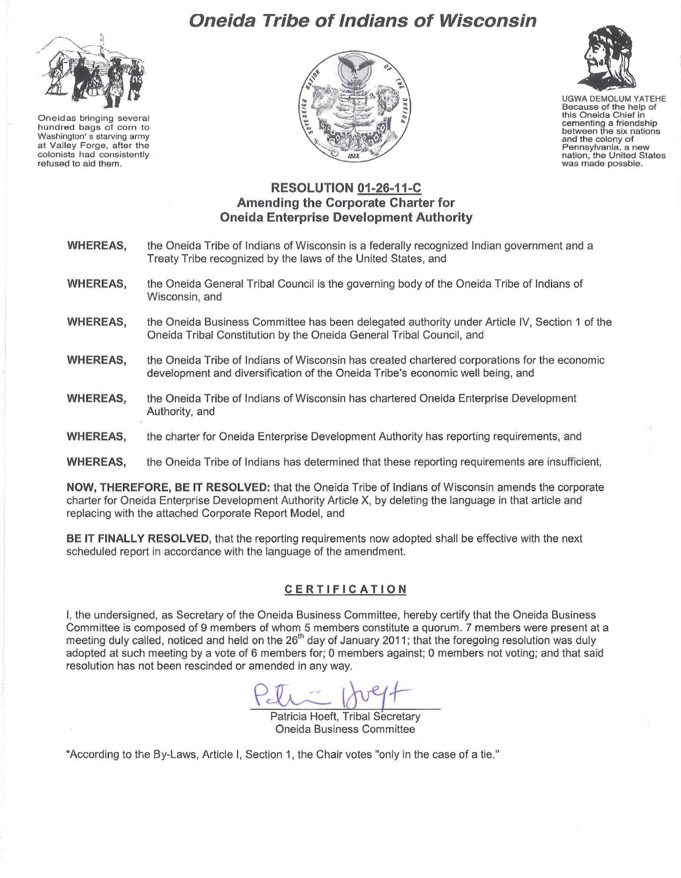**Oneidas bringing several hundred bags of corn to Washington' s starving army at Valley Forge, after the colonists had consistently refused to aid them.** 

# **Oneida Tribe of Indians of Wisconsin**





UGWA DEMOLUM YATEHE **Because of the help of this Oneida Chief in cementing a friendship between the six nations and the colony of Pennsylvania, a new nation, the United States was made possble.** 

## **RESOLUTION 01 -26-11-C Amending the Corporate Charter for Oneida Enterprise Development Authority**

- **WHEREAS, WHEREAS, WHEREAS, WHEREAS, WHEREAS, WHEREAS,**  the Oneida Tribe of Indians of Wisconsin is a federally recognized Indian government and a Treaty Tribe recognized by the laws of the United States, and the Oneida General Tribal Council is the governing body of the Oneida Tribe of Indians of Wisconsin, and the Oneida Business Committee has been delegated authority under Article IV, Section 1 of the Oneida Tribal Constitution by the Oneida General Tribal Council, and the Oneida Tribe of Indians of Wisconsin has created chartered corporations for the economic development and diversification of the Oneida Tribe's economic well being, and the Oneida Tribe of Indians of Wisconsin has chartered Oneida Enterprise Development Authority, and the charter for Oneida Enterprise Development Authority has reporting requirements, and
- **WHEREAS,**  the Oneida Tribe of Indians has determined that these reporting requirements are insufficient,

**NOW, THEREFORE, BE IT RESOLVED:** that the Oneida Tribe of Indians of Wisconsin amends the corporate charter for Oneida Enterprise Development Authority Article X, by deleting the language in that article and replacing with the attached Corporate Report Model, and

BE **IT FINALLY RESOLVED,** that the reporting requirements now adopted shall be effective with the next scheduled report in accordance with the language of the amendment.

#### **CERTIFICATION**

I, the undersigned, as Secretary of the Oneida Business Committee, hereby certify that the Oneida Business Committee is composed of 9 members of whom 5 members constitute a quorum. 7 members were present at a meeting duly called, noticed and held on the 26<sup>th</sup> day of January 2011; that the foregoing resolution was duly adopted at such meeting by a vote of 6 members for; 0 members against; 0 members not voting; and that said resolution has not been rescinded or amended in any way.

Patricia Hoeft, Tribal Secretary Oneida Business Committee

'According to the By-Laws, Article I, Section 1, the Chair votes "only in the case of a tie."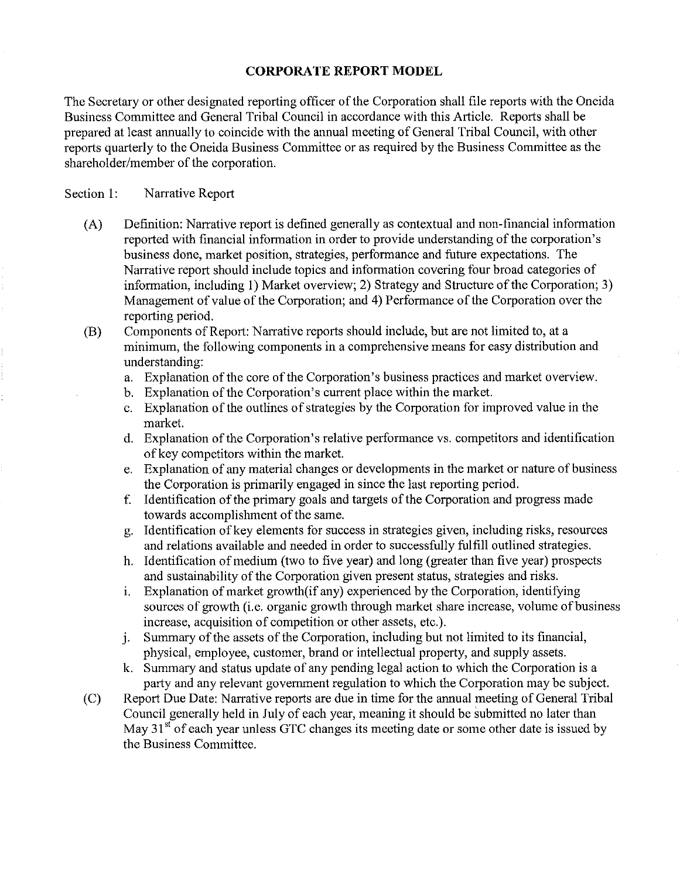### **CORPORATE REPORT MODEL**

The Secretary or other designated reporting officer of the Corporation shall file reports with the Oneida Business Committee and General Tribal Council in accordance with this Article. Reports shall be prepared at least annually to coincide with the annual meeting of General Tribal Council, with other reports quarterly to the Oneida Business Committee or as required by the Business Committee as the shareholder/member of the corporation.

### Section 1: Narrative Report

- (A) Definition: Narrative report is defined generally as contextual and non-financial information reported with financial information in order to provide understanding of the corporation's business done, market position, strategies, performance and future expectations. The Narrative report should include topics and information covering four broad categories of information, including I) Market overview; 2) Strategy and Structure of the Corporation; 3) Management of value of the Corporation; and 4) Performance of the Corporation over the reporting period.
- (B) Components of Report: Narrative reports should include, but are not limited to, at a minimum, the following components in a comprehensive means for easy distribution and understanding:
	- a. Explanation of the core of the Corporation's business practices and market overview.
	- b. Explanation of the Corporation's current place within the market.
	- c. Explanation of the outlines of strategies by the Corporation for improved value in the market.
	- d. Explanation of the Corporation's relative performance vs. competitors and identification of key competitors within the market.
	- e. Explanation of any material changes or developments in the market or nature of business the Corporation is primarily engaged in since the last reporting period.
	- f. Identification of the primary goals and targets of the Corporation and progress made towards accomplishment of the same.
	- g. Identification of key elements for success in strategies given, including risks, resources and relations available and needed in order to successfully fulfill outlined strategies.
	- h. Identification of medium (two to five year) and long (greater than five year) prospects and sustainability of the Corporation given present status, strategies and risks.
	- 1. Explanation of market growth(if any) experienced by the Corporation, identifying sources of growth (i.e. organic growth through market share increase, volume of business increase, acquisition of competition or other assets, etc.).
	- j. Summary of the assets of the Corporation, including but not limited to its financial, physical, employee, customer, brand or intellectual property, and supply assets.
	- k. Summary and status update of any pending legal action to which the Corporation is a party and any relevant government regulation to which the Corporation may be subject.
- (C) Report Due Date: Narrative reports are due in time for the annual meeting of General Tribal Council generally held in July of each year, meaning it should be submitted no later than May  $31<sup>st</sup>$  of each year unless GTC changes its meeting date or some other date is issued by the Business Committee.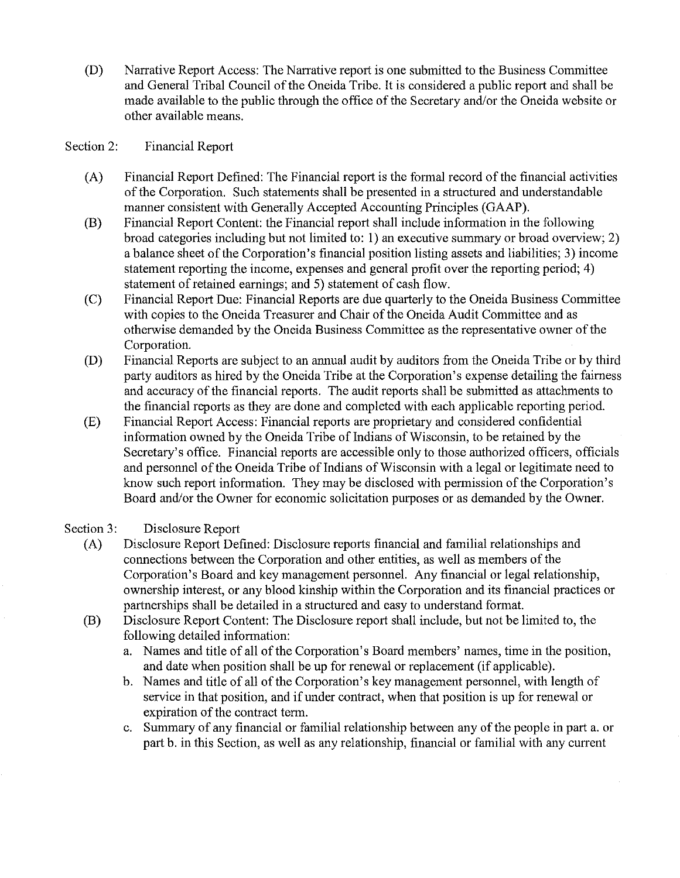(D) Narrative Report Access: The Narrative report is one submitted to the Business Committee and General Tribal Council of the Oneida Tribe. It is considered a public report and shall be made available to the public through the office of the Secretary and/or the Oneida website or other available means.

#### Section 2: Financial Report

- (A) Financial Report Defined: The Financial report is the formal record of the financial activities of the Corporation. Such statements shall be presented in a structured and understandable manner consistent with Generally Accepted Accounting Principles (GAAP).
- (B) Financial Report Content: the Financial report shall include information in the following broad categories including but not limited to: I) an executive summary or broad overview; 2) a balance sheet of the Corporation's financial position listing assets and liabilities; 3) income statement reporting the income, expenses and general profit over the reporting period; 4) statement of retained earnings; and 5) statement of cash flow.
- (C) Financial Report Due: Financial Reports are due quarterly to the Oneida Business Committee with copies to the Oneida Treasurer and Chair of the Oneida Audit Committee and as otherwise demanded by the Oneida Business Committee as the representative owner of the Corporation.
- (D) Financial Reports are subject to an annual audit by auditors from the Oneida Tribe or by third party auditors as hired by the Oneida Tribe at the Corporation's expense detailing the fairness and accuracy of the financial reports. The audit reports shall be submitted as attachments to the financial reports as they are done and completed with each applicable reporting period.
- (E) Financial Report Access: Financial reports are proprietary and considered confidential information owned by the Oneida Tribe of Indians of Wisconsin, to be retained by the Secretary's office. Financial reports are accessible only to those authorized officers, officials and personnel of the Oneida Tribe of Indians of Wisconsin with a legal or legitimate need to know such report information. They may be disclosed with permission of the Corporation's Board and/or the Owner for economic solicitation purposes or as demanded by the Owner.

#### Section 3: Disclosure Report

- (A) Disclosure Report Defined: Disclosure reports financial and familial relationships and connections between the Corporation and other entities, as well as members of the Corporation's Board and key management personnel. Any financial or legal relationship, ownership interest, or any blood kinship within the Corporation and its financial practices or partnerships shall be detailed in a structured and easy to understand format.
- (B) Disclosure Report Content: The Disclosure report shall include, but not be limited to, the following detailed information:
	- a. Names and title of all of the Corporation's Board members' names, time in the position, and date when position shall be up for renewal or replacement (if applicable).
	- b. Names and title of all of the Corporation's key management personnel, with length of service in that position, and if under contract, when that position is up for renewal or expiration of the contract term.
	- c. Summary of any financial or familial relationship between any of the people in part a. or part b. in this Section, as well as any relationship, financial or familial with any current